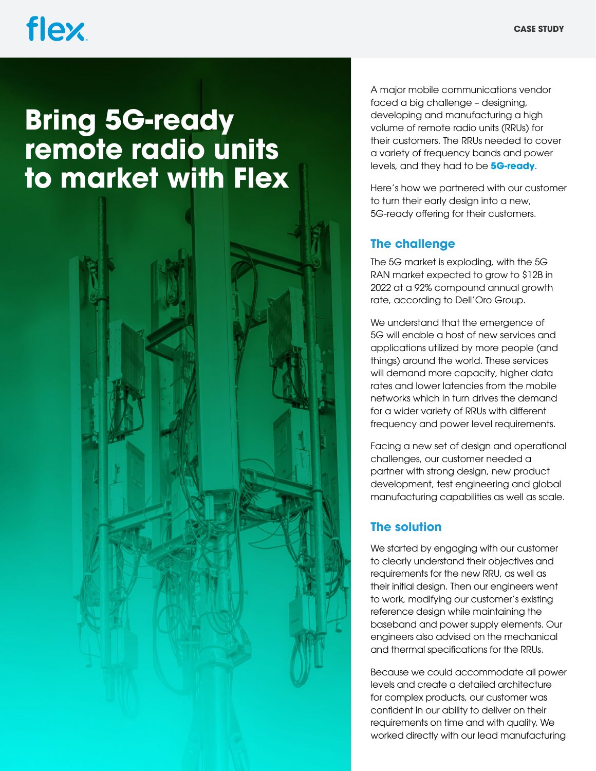## flex.

### **Bring 5G-ready remote radio units to market with Flex**

A major mobile communications vendor faced a big challenge – designing, developing and manufacturing a high volume of remote radio units (RRUs) for their customers. The RRUs needed to cover a variety of frequency bands and power levels, and they had to be **[5G-ready](https://flex.com/industries/communications/5g-and-wireless-infrastructure)**.

Here's how we partnered with our customer to turn their early design into a new, 5G-ready offering for their customers.

#### **The challenge**

The 5G market is exploding, with the 5G RAN market expected to grow to \$12B in 2022 at a 92% compound annual growth rate, according to Dell'Oro Group.

We understand that the emergence of 5G will enable a host of new services and applications utilized by more people (and things) around the world. These services will demand more capacity, higher data rates and lower latencies from the mobile networks which in turn drives the demand for a wider variety of RRUs with different frequency and power level requirements.

Facing a new set of design and operational challenges, our customer needed a partner with strong design, new product development, test engineering and global manufacturing capabilities as well as scale.

#### **The solution**

We started by engaging with our customer to clearly understand their objectives and requirements for the new RRU, as well as their initial design. Then our engineers went to work, modifying our customer's existing reference design while maintaining the baseband and power supply elements. Our engineers also advised on the mechanical and thermal specifications for the RRUs.

Because we could accommodate all power levels and create a detailed architecture for complex products, our customer was confident in our ability to deliver on their requirements on time and with quality. We worked directly with our lead manufacturing